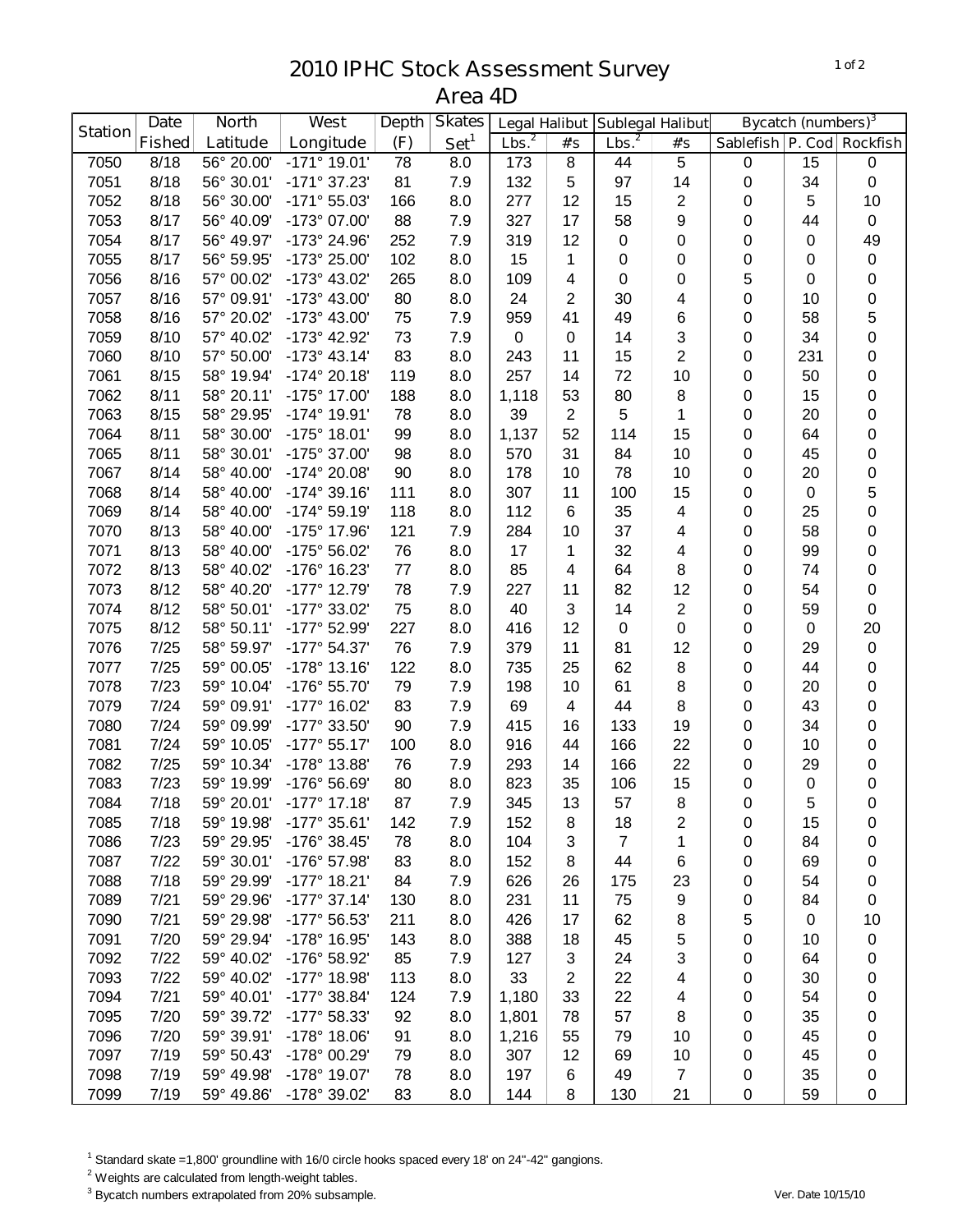## **IPHC Stock Assessment Survey Area 4D**

|                | <b>North</b><br><b>Date</b> |            | West                    | <b>Depth</b> | <b>Skates</b>    | <b>Legal Halibut</b> |                | Sublegal Halibut  |                | <b>Bycatch (numbers)</b> <sup>3</sup> |     |           |
|----------------|-----------------------------|------------|-------------------------|--------------|------------------|----------------------|----------------|-------------------|----------------|---------------------------------------|-----|-----------|
| <b>Station</b> | <b>Fished</b>               | Latitude   | Longitude               | (F)          | Set <sup>1</sup> | Lbs. <sup>2</sup>    | #'s            | Lbs. <sup>2</sup> | #'s            | Sablefish   P. Cod   Rockfish         |     |           |
| 7050           | 8/18                        | 56° 20.00' | $-171°$ 19.01'          | 78           | 8.0              | 173                  | $\bf 8$        | 44                | $\overline{5}$ | $\pmb{0}$                             | 15  | $\pmb{0}$ |
| 7051           | 8/18                        | 56° 30.01' | -171° 37.23'            | 81           | 7.9              | 132                  | 5              | 97                | 14             | $\mathbf 0$                           | 34  | $\pmb{0}$ |
| 7052           | 8/18                        | 56° 30.00' | -171° 55.03'            | 166          | 8.0              | 277                  | 12             | 15                | 2              | $\mathbf 0$                           | 5   | 10        |
| 7053           | 8/17                        | 56° 40.09' | -173° 07.00'            | 88           | 7.9              | 327                  | 17             | 58                | 9              | 0                                     | 44  | $\pmb{0}$ |
| 7054           | 8/17                        | 56° 49.97' | -173° 24.96'            | 252          | 7.9              | 319                  | 12             | 0                 | 0              | 0                                     | 0   | 49        |
| 7055           | 8/17                        | 56° 59.95' | -173° 25.00'            | 102          | 8.0              | 15                   | 1              | 0                 | 0              | 0                                     | 0   | $\pmb{0}$ |
| 7056           | 8/16                        | 57° 00.02' | -173° 43.02'            | 265          | 8.0              | 109                  | 4              | 0                 | 0              | 5                                     | 0   | $\pmb{0}$ |
| 7057           | 8/16                        | 57° 09.91' | -173° 43.00'            | 80           | 8.0              | 24                   | $\overline{2}$ | 30                | 4              | 0                                     | 10  | 0         |
| 7058           | 8/16                        | 57° 20.02' | -173° 43.00'            | 75           | 7.9              | 959                  | 41             | 49                | 6              | 0                                     | 58  | 5         |
| 7059           | 8/10                        | 57° 40.02' | -173° 42.92'            | 73           | 7.9              | 0                    | 0              | 14                | 3              | 0                                     | 34  | 0         |
| 7060           | 8/10                        | 57° 50.00' | $-173^{\circ}$ 43.14'   | 83           | 8.0              | 243                  | 11             | 15                | 2              | 0                                     | 231 | 0         |
| 7061           | 8/15                        | 58° 19.94' | $-174^{\circ} 20.18'$   | 119          | 8.0              | 257                  | 14             | 72                | 10             | 0                                     | 50  | 0         |
| 7062           | 8/11                        | 58° 20.11' | -175° 17.00'            | 188          | 8.0              | 1,118                | 53             | 80                | 8              | 0                                     | 15  | $\pmb{0}$ |
| 7063           | 8/15                        | 58° 29.95' | -174° 19.91'            | 78           | 8.0              | 39                   | $\overline{2}$ | 5                 | 1              | $\pmb{0}$                             | 20  | $\pmb{0}$ |
| 7064           | 8/11                        | 58° 30.00' | $-175°$ 18.01'          | 99           | 8.0              | 1,137                | 52             | 114               | 15             | $\mathbf 0$                           | 64  | $\pmb{0}$ |
| 7065           | 8/11                        | 58° 30.01' | -175° 37.00'            | 98           | 8.0              | 570                  | 31             | 84                | 10             | $\mathbf 0$                           | 45  | $\pmb{0}$ |
| 7067           | 8/14                        | 58° 40.00' | -174° 20.08'            | 90           | 8.0              | 178                  | 10             | 78                | 10             | 0                                     | 20  | 0         |
| 7068           | 8/14                        | 58° 40.00' | $-174^{\circ}$ 39.16'   | 111          | 8.0              | 307                  | 11             | 100               | 15             | 0                                     | 0   | 5         |
| 7069           | 8/14                        | 58° 40.00' | $-174^{\circ} 59.19'$   | 118          | 8.0              | 112                  | 6              | 35                | 4              | 0                                     | 25  | 0         |
| 7070           | 8/13                        | 58° 40.00' | -175° 17.96'            | 121          | 7.9              | 284                  | 10             | 37                | 4              | 0                                     | 58  | 0         |
| 7071           | 8/13                        | 58° 40.00' | -175° 56.02'            | 76           | 8.0              | 17                   | 1              | 32                | 4              | 0                                     | 99  | 0         |
| 7072           | 8/13                        | 58° 40.02' | -176° 16.23'            | 77           | 8.0              | 85                   | 4              | 64                | 8              | 0                                     | 74  | 0         |
| 7073           | 8/12                        | 58° 40.20' | $-177^{\circ}$ 12.79    | 78           | 7.9              | 227                  | 11             | 82                | 12             | 0                                     | 54  | 0         |
| 7074           | 8/12                        | 58° 50.01' | -177° 33.02'            | 75           | 8.0              | 40                   | 3              | 14                | $\overline{c}$ | 0                                     | 59  | 0         |
| 7075           | 8/12                        | 58° 50.11' | -177° 52.99'            | 227          | 8.0              | 416                  | 12             | 0                 | 0              | 0                                     | 0   | 20        |
| 7076           | 7/25                        | 58° 59.97' | -177° 54.37'            | 76           | 7.9              | 379                  | 11             | 81                | 12             | $\pmb{0}$                             | 29  | $\pmb{0}$ |
| 7077           | 7/25                        | 59° 00.05' | -178° 13.16'            | 122          | 8.0              | 735                  | 25             | 62                | 8              | $\pmb{0}$                             | 44  | $\pmb{0}$ |
| 7078           | 7/23                        | 59° 10.04' | -176° 55.70'            | 79           | 7.9              | 198                  | 10             | 61                | 8              | $\mathbf 0$                           | 20  | 0         |
| 7079           | 7/24                        | 59° 09.91' | -177° 16.02'            | 83           | 7.9              | 69                   | 4              | 44                | 8              | $\mathbf 0$                           | 43  | 0         |
| 7080           | 7/24                        | 59° 09.99' | -177° 33.50'            | 90           | 7.9              | 415                  | 16             | 133               | 19             | $\mathbf 0$                           | 34  | 0         |
| 7081           | 7/24                        | 59° 10.05' | $-177°55.17'$           | 100          | 8.0              | 916                  | 44             | 166               | 22             | 0                                     | 10  | 0         |
| 7082           | 7/25                        | 59° 10.34' | -178° 13.88'            | 76           | 7.9              | 293                  | 14             | 166               | 22             | 0                                     | 29  | $\pmb{0}$ |
| 7083           | 7/23                        | 59° 19.99' | -176° 56.69'            | 80           | 8.0              | 823                  | 35             | 106               | 15             | 0                                     | 0   | 0         |
| 7084           | 7/18                        |            | 59° 20.01' -177° 17.18' | 87           | 7.9              | 345                  | 13             | 57                | $\bf 8$        | $\mathbf 0$                           | 5   | $\pmb{0}$ |
| 7085           | 7/18                        | 59° 19.98' | $-177^{\circ}$ 35.61'   | 142          | 7.9              | 152                  | 8              | 18                | 2              | 0                                     | 15  | 0         |
| 7086           | 7/23                        | 59° 29.95' | -176° 38.45'            | 78           | 8.0              | 104                  | 3              | 7                 | 1              | 0                                     | 84  | 0         |
| 7087           | 7/22                        | 59° 30.01' | -176° 57.98'            | 83           | 8.0              | 152                  | 8              | 44                | 6              | 0                                     | 69  | 0         |
| 7088           | 7/18                        | 59° 29.99' | $-177^{\circ}$ 18.21'   | 84           | 7.9              | 626                  | 26             | 175               | 23             | 0                                     | 54  | $\pmb{0}$ |
| 7089           | 7/21                        | 59° 29.96' | $-177°37.14'$           | 130          | 8.0              | 231                  | 11             | 75                | 9              | 0                                     | 84  | $\pmb{0}$ |
| 7090           | 7/21                        | 59° 29.98' | -177° 56.53'            | 211          | 8.0              | 426                  | 17             | 62                | 8              | 5                                     | 0   | 10        |
| 7091           | 7/20                        | 59° 29.94' | -178° 16.95'            | 143          | 8.0              | 388                  | 18             | 45                | 5              | 0                                     | 10  | 0         |
| 7092           | 7/22                        | 59° 40.02' | -176° 58.92'            | 85           | 7.9              | 127                  | 3              | 24                | 3              | 0                                     | 64  | 0         |
| 7093           | 7/22                        | 59° 40.02' | -177° 18.98'            | 113          | 8.0              | 33                   | $\overline{c}$ | 22                | 4              | 0                                     | 30  | 0         |
| 7094           | 7/21                        | 59° 40.01' | -177° 38.84'            | 124          | 7.9              | 1,180                | 33             | 22                | 4              | 0                                     | 54  | $\pmb{0}$ |
| 7095           | 7/20                        | 59° 39.72' | -177° 58.33'            | 92           | 8.0              | 1,801                | 78             | 57                | 8              | 0                                     | 35  | 0         |
| 7096           | 7/20                        | 59° 39.91' | $-178°$ 18.06'          | 91           | 8.0              | 1,216                | 55             | 79                | 10             | 0                                     | 45  | 0         |
| 7097           | 7/19                        | 59° 50.43' | -178° 00.29'            | 79           | 8.0              | 307                  | 12             | 69                | 10             | 0                                     | 45  | 0         |
| 7098           | 7/19                        | 59° 49.98' | -178° 19.07'            | 78           | 8.0              | 197                  | 6              | 49                | $\overline{7}$ | 0                                     | 35  | 0         |
| 7099           | 7/19                        | 59° 49.86' | -178° 39.02'            | 83           | 8.0              | 144                  | 8              | 130               | 21             | 0                                     | 59  | 0         |

Standard skate =1,800' groundline with 16/0 circle hooks spaced every 18' on 24"-42" gangions.

<sup>2</sup> Weights are calculated from length-weight tables.

Bycatch numbers extrapolated from 20% subsample. *Ver. Date 10/15/10*